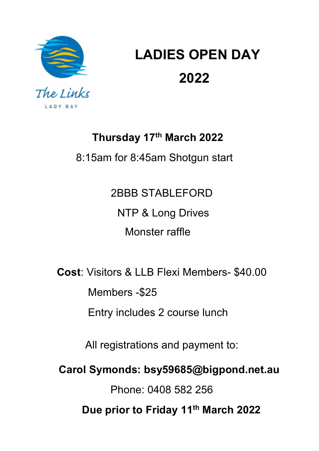

# **LADIES OPEN DAY 2022**

## **Thursday 17th March 2022**

8:15am for 8:45am Shotgun start

2BBB STABLEFORD NTP & Long Drives Monster raffle

**Cost**: Visitors & LLB Flexi Members- \$40.00

Members -\$25

Entry includes 2 course lunch

All registrations and payment to:

**Carol Symonds: bsy59685@bigpond.net.au**

Phone: 0408 582 256

**Due prior to Friday 11th March 2022**